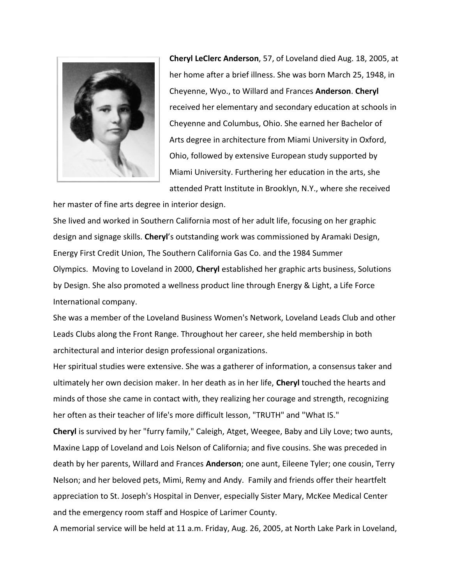

**Cheryl LeClerc Anderson**, 57, of Loveland died Aug. 18, 2005, at her home after a brief illness. She was born March 25, 1948, in Cheyenne, Wyo., to Willard and Frances **Anderson**. **Cheryl** received her elementary and secondary education at schools in Cheyenne and Columbus, Ohio. She earned her Bachelor of Arts degree in architecture from Miami University in Oxford, Ohio, followed by extensive European study supported by Miami University. Furthering her education in the arts, she attended Pratt Institute in Brooklyn, N.Y., where she received

her master of fine arts degree in interior design.

She lived and worked in Southern California most of her adult life, focusing on her graphic design and signage skills. **Cheryl**'s outstanding work was commissioned by Aramaki Design, Energy First Credit Union, The Southern California Gas Co. and the 1984 Summer Olympics. Moving to Loveland in 2000, **Cheryl** established her graphic arts business, Solutions by Design. She also promoted a wellness product line through Energy & Light, a Life Force International company.

She was a member of the Loveland Business Women's Network, Loveland Leads Club and other Leads Clubs along the Front Range. Throughout her career, she held membership in both architectural and interior design professional organizations.

Her spiritual studies were extensive. She was a gatherer of information, a consensus taker and ultimately her own decision maker. In her death as in her life, **Cheryl** touched the hearts and minds of those she came in contact with, they realizing her courage and strength, recognizing her often as their teacher of life's more difficult lesson, "TRUTH" and "What IS."

**Cheryl** is survived by her "furry family," Caleigh, Atget, Weegee, Baby and Lily Love; two aunts, Maxine Lapp of Loveland and Lois Nelson of California; and five cousins. She was preceded in death by her parents, Willard and Frances **Anderson**; one aunt, Eileene Tyler; one cousin, Terry Nelson; and her beloved pets, Mimi, Remy and Andy. Family and friends offer their heartfelt appreciation to St. Joseph's Hospital in Denver, especially Sister Mary, McKee Medical Center and the emergency room staff and Hospice of Larimer County.

A memorial service will be held at 11 a.m. Friday, Aug. 26, 2005, at North Lake Park in Loveland,